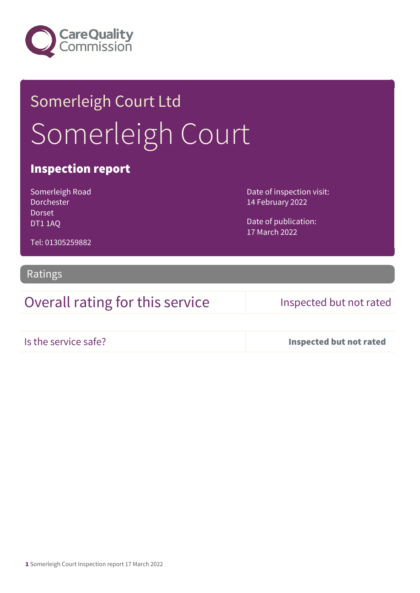

# Somerleigh Court Ltd Somerleigh Court

## Inspection report

Somerleigh Road Dorchester Dorset DT1 1AQ

Date of inspection visit: 14 February 2022

Date of publication: 17 March 2022

Tel: 01305259882

## Ratings

Overall rating for this service Inspected but not rated

Is the service safe? Inspected but not rated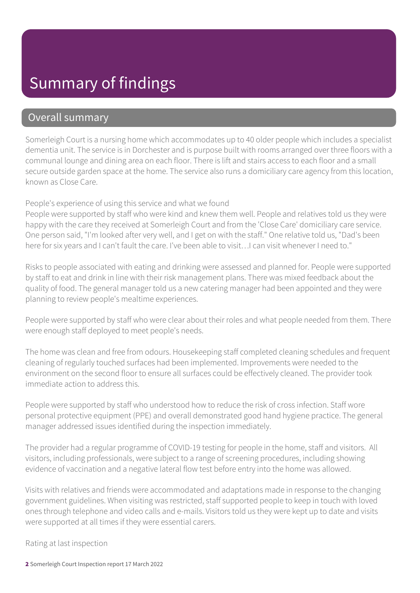## Summary of findings

## Overall summary

Somerleigh Court is a nursing home which accommodates up to 40 older people which includes a specialist dementia unit. The service is in Dorchester and is purpose built with rooms arranged over three floors with a communal lounge and dining area on each floor. There is lift and stairs access to each floor and a small secure outside garden space at the home. The service also runs a domiciliary care agency from this location, known as Close Care.

### People's experience of using this service and what we found

People were supported by staff who were kind and knew them well. People and relatives told us they were happy with the care they received at Somerleigh Court and from the 'Close Care' domiciliary care service. One person said, "I'm looked after very well, and I get on with the staff." One relative told us, "Dad's been here for six years and I can't fault the care. I've been able to visit... I can visit whenever I need to."

Risks to people associated with eating and drinking were assessed and planned for. People were supported by staff to eat and drink in line with their risk management plans. There was mixed feedback about the quality of food. The general manager told us a new catering manager had been appointed and they were planning to review people's mealtime experiences.

People were supported by staff who were clear about their roles and what people needed from them. There were enough staff deployed to meet people's needs.

The home was clean and free from odours. Housekeeping staff completed cleaning schedules and frequent cleaning of regularly touched surfaces had been implemented. Improvements were needed to the environment on the second floor to ensure all surfaces could be effectively cleaned. The provider took immediate action to address this.

People were supported by staff who understood how to reduce the risk of cross infection. Staff wore personal protective equipment (PPE) and overall demonstrated good hand hygiene practice. The general manager addressed issues identified during the inspection immediately.

The provider had a regular programme of COVID-19 testing for people in the home, staff and visitors. All visitors, including professionals, were subject to a range of screening procedures, including showing evidence of vaccination and a negative lateral flow test before entry into the home was allowed.

Visits with relatives and friends were accommodated and adaptations made in response to the changing government guidelines. When visiting was restricted, staff supported people to keep in touch with loved ones through telephone and video calls and e-mails. Visitors told us they were kept up to date and visits were supported at all times if they were essential carers.

Rating at last inspection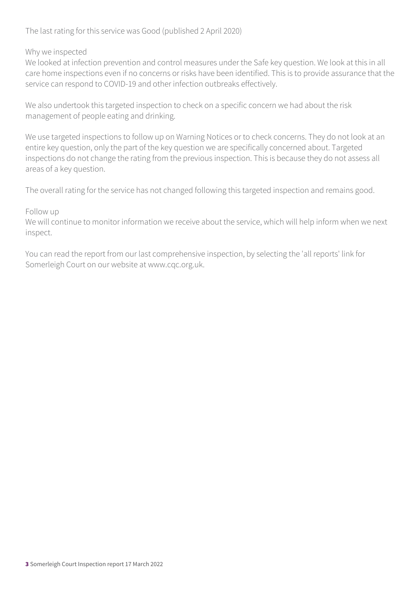The last rating for this service was Good (published 2 April 2020)

Why we inspected

We looked at infection prevention and control measures under the Safe key question. We look at this in all care home inspections even if no concerns or risks have been identified. This is to provide assurance that the service can respond to COVID-19 and other infection outbreaks effectively.

We also undertook this targeted inspection to check on a specific concern we had about the risk management of people eating and drinking.

We use targeted inspections to follow up on Warning Notices or to check concerns. They do not look at an entire key question, only the part of the key question we are specifically concerned about. Targeted inspections do not change the rating from the previous inspection. This is because they do not assess all areas of a key question.

The overall rating for the service has not changed following this targeted inspection and remains good.

### Follow up

We will continue to monitor information we receive about the service, which will help inform when we next inspect.

You can read the report from our last comprehensive inspection, by selecting the 'all reports' link for Somerleigh Court on our website at www.cqc.org.uk.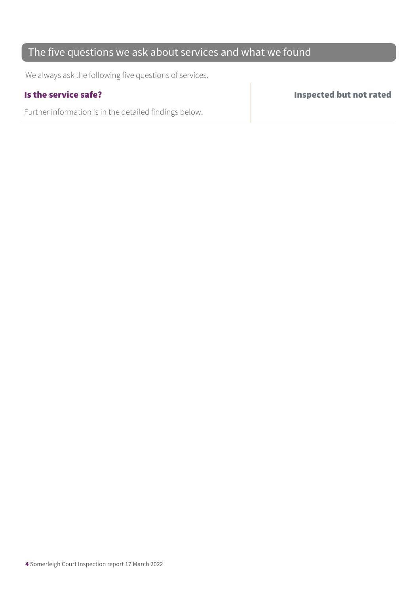## The five questions we ask about services and what we found

We always ask the following five questions of services.

Further information is in the detailed findings below.

Is the service safe? Inspected but not rated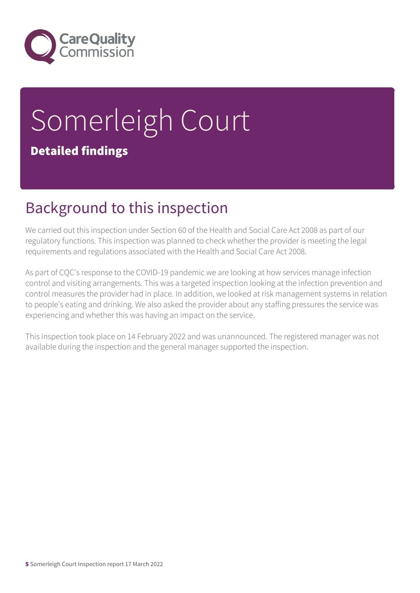

# Somerleigh Court Detailed findings

## Background to this inspection

We carried out this inspection under Section 60 of the Health and Social Care Act 2008 as part of our regulatory functions. This inspection was planned to check whether the provider is meeting the legal requirements and regulations associated with the Health and Social Care Act 2008.

As part of CQC's response to the COVID-19 pandemic we are looking at how services manage infection control and visiting arrangements. This was a targeted inspection looking at the infection prevention and control measures the provider had in place. In addition, we looked at risk management systems in relation to people's eating and drinking. We also asked the provider about any staffing pressures the service was experiencing and whether this was having an impact on the service.

This inspection took place on 14 February 2022 and was unannounced. The registered manager was not available during the inspection and the general manager supported the inspection.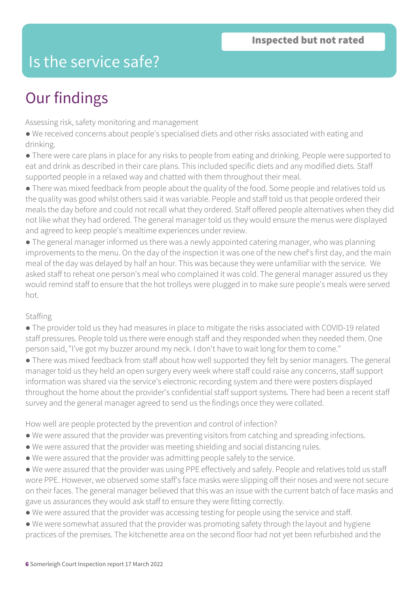## Is the service safe?

## Our findings

Assessing risk, safety monitoring and management

● We received concerns about people's specialised diets and other risks associated with eating and drinking.

● There were care plans in place for any risks to people from eating and drinking. People were supported to eat and drink as described in their care plans. This included specific diets and any modified diets. Staff supported people in a relaxed way and chatted with them throughout their meal.

● There was mixed feedback from people about the quality of the food. Some people and relatives told us the quality was good whilst others said it was variable. People and staff told us that people ordered their meals the day before and could not recall what they ordered. Staff offered people alternatives when they did not like what they had ordered. The general manager told us they would ensure the menus were displayed and agreed to keep people's mealtime experiences under review.

● The general manager informed us there was a newly appointed catering manager, who was planning improvements to the menu. On the day of the inspection it was one of the new chef's first day, and the main meal of the day was delayed by half an hour. This was because they were unfamiliar with the service. We asked staff to reheat one person's meal who complained it was cold. The general manager assured us they would remind staff to ensure that the hot trolleys were plugged in to make sure people's meals were served hot.

### Staffing

● The provider told us they had measures in place to mitigate the risks associated with COVID-19 related staff pressures. People told us there were enough staff and they responded when they needed them. One person said, "I've got my buzzer around my neck. I don't have to wait long for them to come."

● There was mixed feedback from staff about how well supported they felt by senior managers. The general manager told us they held an open surgery every week where staff could raise any concerns, staff support information was shared via the service's electronic recording system and there were posters displayed throughout the home about the provider's confidential staff support systems. There had been a recent staff survey and the general manager agreed to send us the findings once they were collated.

How well are people protected by the prevention and control of infection?

- We were assured that the provider was preventing visitors from catching and spreading infections.
- We were assured that the provider was meeting shielding and social distancing rules.
- We were assured that the provider was admitting people safely to the service.
- We were assured that the provider was using PPE effectively and safely. People and relatives told us staff wore PPE. However, we observed some staff's face masks were slipping off their noses and were not secure on their faces. The general manager believed that this was an issue with the current batch of face masks and gave us assurances they would ask staff to ensure they were fitting correctly.
- We were assured that the provider was accessing testing for people using the service and staff.
- We were somewhat assured that the provider was promoting safety through the layout and hygiene practices of the premises. The kitchenette area on the second floor had not yet been refurbished and the